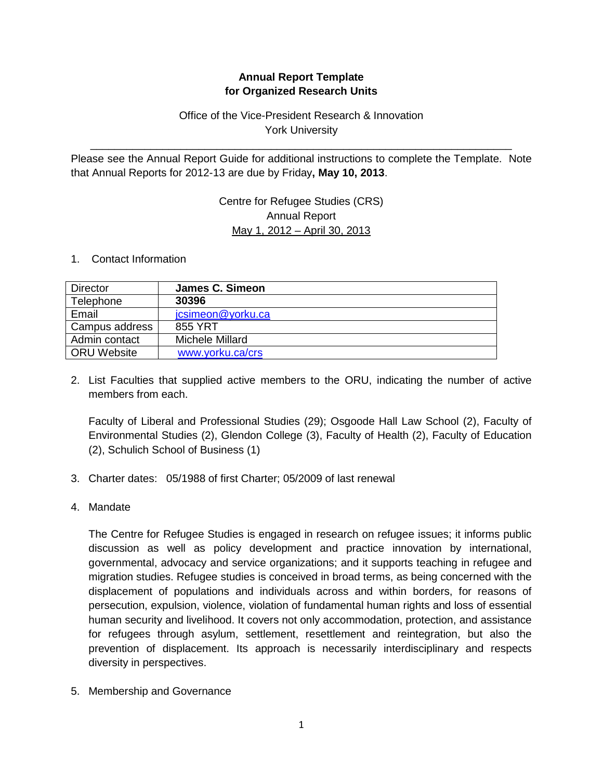# **Annual Report Template for Organized Research Units**

# Office of the Vice-President Research & Innovation York University

Please see the Annual Report Guide for additional instructions to complete the Template. Note that Annual Reports for 2012-13 are due by Friday**, May 10, 2013**.

\_\_\_\_\_\_\_\_\_\_\_\_\_\_\_\_\_\_\_\_\_\_\_\_\_\_\_\_\_\_\_\_\_\_\_\_\_\_\_\_\_\_\_\_\_\_\_\_\_\_\_\_\_\_\_\_\_\_\_\_\_\_\_\_\_\_\_\_\_\_

## Centre for Refugee Studies (CRS) Annual Report May 1, 2012 – April 30, 2013

#### 1. Contact Information

| <b>Director</b>    | James C. Simeon   |
|--------------------|-------------------|
| Telephone          | 30396             |
| Email              | jcsimeon@yorku.ca |
| Campus address     | 855 YRT           |
| Admin contact      | Michele Millard   |
| <b>ORU Website</b> | www.yorku.ca/crs  |

2. List Faculties that supplied active members to the ORU, indicating the number of active members from each.

Faculty of Liberal and Professional Studies (29); Osgoode Hall Law School (2), Faculty of Environmental Studies (2), Glendon College (3), Faculty of Health (2), Faculty of Education (2), Schulich School of Business (1)

- 3. Charter dates: 05/1988 of first Charter; 05/2009 of last renewal
- 4. Mandate

The Centre for Refugee Studies is engaged in research on refugee issues; it informs public discussion as well as policy development and practice innovation by international, governmental, advocacy and service organizations; and it supports teaching in refugee and migration studies. Refugee studies is conceived in broad terms, as being concerned with the displacement of populations and individuals across and within borders, for reasons of persecution, expulsion, violence, violation of fundamental human rights and loss of essential human security and livelihood. It covers not only accommodation, protection, and assistance for refugees through asylum, settlement, resettlement and reintegration, but also the prevention of displacement. Its approach is necessarily interdisciplinary and respects diversity in perspectives.

5. Membership and Governance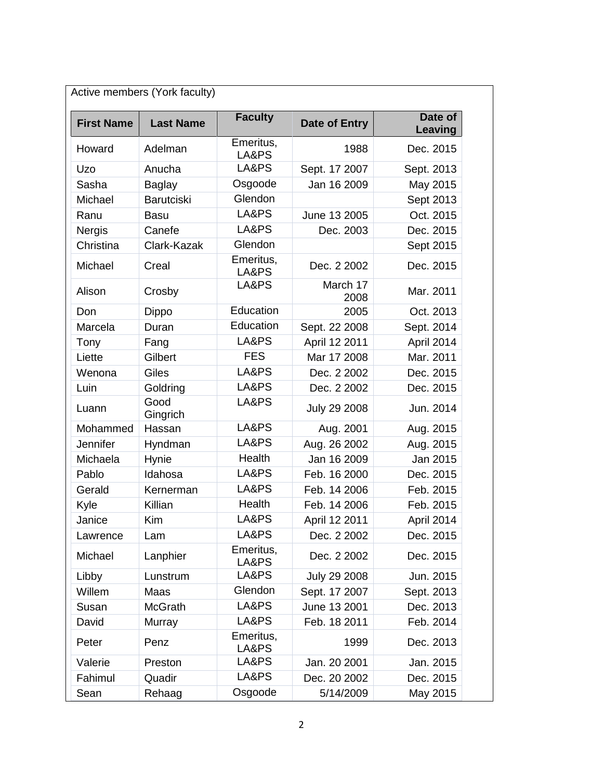| <b>First Name</b> | <b>Last Name</b>  | <b>Faculty</b>     | Date of Entry    | Date of<br>Leaving |
|-------------------|-------------------|--------------------|------------------|--------------------|
| Howard            | Adelman           | Emeritus,<br>LA&PS | 1988             | Dec. 2015          |
| Uzo               | Anucha            | LA&PS              | Sept. 17 2007    | Sept. 2013         |
| Sasha             | <b>Baglay</b>     | Osgoode            | Jan 16 2009      | May 2015           |
| Michael           | <b>Barutciski</b> | Glendon            |                  | Sept 2013          |
| Ranu              | <b>Basu</b>       | LA&PS              | June 13 2005     | Oct. 2015          |
| <b>Nergis</b>     | Canefe            | LA&PS              | Dec. 2003        | Dec. 2015          |
| Christina         | Clark-Kazak       | Glendon            |                  | Sept 2015          |
| Michael           | Creal             | Emeritus,<br>LA&PS | Dec. 2 2002      | Dec. 2015          |
| Alison            | Crosby            | LA&PS              | March 17<br>2008 | Mar. 2011          |
| Don               | <b>Dippo</b>      | Education          | 2005             | Oct. 2013          |
| Marcela           | Duran             | Education          | Sept. 22 2008    | Sept. 2014         |
| Tony              | Fang              | LA&PS              | April 12 2011    | April 2014         |
| Liette            | Gilbert           | <b>FES</b>         | Mar 17 2008      | Mar. 2011          |
| Wenona            | Giles             | LA&PS              | Dec. 2 2002      | Dec. 2015          |
| Luin              | Goldring          | LA&PS              | Dec. 2 2002      | Dec. 2015          |
| Luann             | Good<br>Gingrich  | LA&PS              | July 29 2008     | Jun. 2014          |
| Mohammed          | Hassan            | LA&PS              | Aug. 2001        | Aug. 2015          |
| Jennifer          | Hyndman           | LA&PS              | Aug. 26 2002     | Aug. 2015          |
| Michaela          | Hynie             | <b>Health</b>      | Jan 16 2009      | Jan 2015           |
| Pablo             | Idahosa           | LA&PS              | Feb. 16 2000     | Dec. 2015          |
| Gerald            | Kernerman         | LA&PS              | Feb. 14 2006     | Feb. 2015          |
| Kyle              | Killian           | Health             | Feb. 14 2006     | Feb. 2015          |
| Janice            | Kim               | LA&PS              | April 12 2011    | April 2014         |
| Lawrence          | Lam               | LA&PS              | Dec. 2 2002      | Dec. 2015          |
| Michael           | Lanphier          | Emeritus,<br>LA&PS | Dec. 2 2002      | Dec. 2015          |
| Libby             | Lunstrum          | LA&PS              | July 29 2008     | Jun. 2015          |
| Willem            | Maas              | Glendon            | Sept. 17 2007    | Sept. 2013         |
| Susan             | <b>McGrath</b>    | LA&PS              | June 13 2001     | Dec. 2013          |
| David             | Murray            | LA&PS              | Feb. 18 2011     | Feb. 2014          |
| Peter             | Penz              | Emeritus,<br>LA&PS | 1999             | Dec. 2013          |
| Valerie           | Preston           | LA&PS              | Jan. 20 2001     | Jan. 2015          |
| Fahimul           | Quadir            | LA&PS              | Dec. 20 2002     | Dec. 2015          |
| Sean              | Rehaag            | Osgoode            | 5/14/2009        | May 2015           |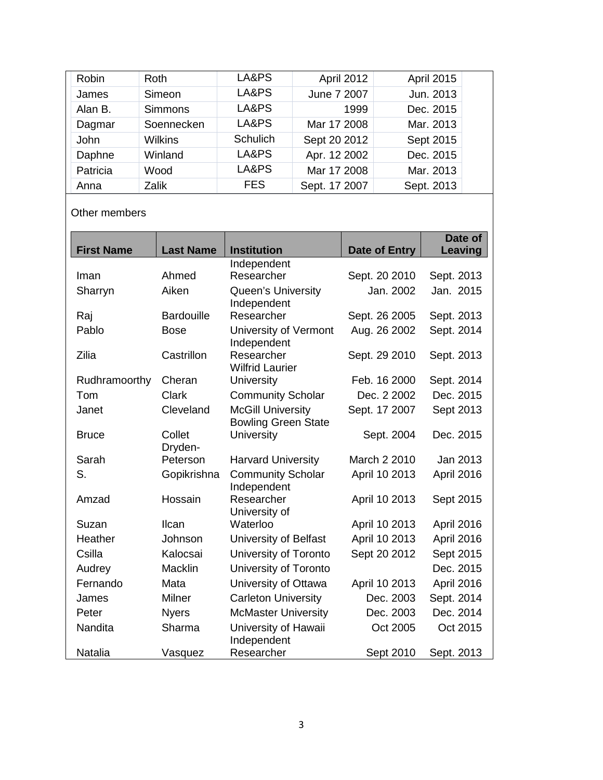| Robin    | <b>Roth</b>    | LA&PS      | April 2012    | <b>April 2015</b> |
|----------|----------------|------------|---------------|-------------------|
| James    | Simeon         | LA&PS      | June 7 2007   | Jun. 2013         |
| Alan B.  | <b>Simmons</b> | LA&PS      | 1999          | Dec. 2015         |
| Dagmar   | Soennecken     | LA&PS      | Mar 17 2008   | Mar. 2013         |
| John     | <b>Wilkins</b> | Schulich   | Sept 20 2012  | Sept 2015         |
| Daphne   | Winland        | LA&PS      | Apr. 12 2002  | Dec. 2015         |
| Patricia | Wood           | LA&PS      | Mar 17 2008   | Mar. 2013         |
| Anna     | Zalik          | <b>FES</b> | Sept. 17 2007 | Sept. 2013        |

Other members

| <b>First Name</b> | <b>Last Name</b>  | <b>Institution</b>                   |               | Date of<br>Leaving |
|-------------------|-------------------|--------------------------------------|---------------|--------------------|
|                   |                   | Independent                          | Date of Entry |                    |
| Iman              | Ahmed             | Researcher                           | Sept. 20 2010 | Sept. 2013         |
| Sharryn           | Aiken             | Queen's University                   | Jan. 2002     | Jan. 2015          |
|                   |                   | Independent                          |               |                    |
| Raj               | <b>Bardouille</b> | Researcher                           | Sept. 26 2005 | Sept. 2013         |
| Pablo             | <b>Bose</b>       | University of Vermont<br>Independent | Aug. 26 2002  | Sept. 2014         |
| Zilia             | Castrillon        | Researcher<br><b>Wilfrid Laurier</b> | Sept. 29 2010 | Sept. 2013         |
| Rudhramoorthy     | Cheran            | University                           | Feb. 16 2000  | Sept. 2014         |
| Tom               | <b>Clark</b>      | <b>Community Scholar</b>             | Dec. 2 2002   | Dec. 2015          |
| Janet             | Cleveland         | <b>McGill University</b>             | Sept. 17 2007 | Sept 2013          |
|                   |                   | <b>Bowling Green State</b>           |               |                    |
| <b>Bruce</b>      | Collet<br>Dryden- | <b>University</b>                    | Sept. 2004    | Dec. 2015          |
| Sarah             | Peterson          | <b>Harvard University</b>            | March 2 2010  | Jan 2013           |
| S.                | Gopikrishna       | <b>Community Scholar</b>             | April 10 2013 | April 2016         |
|                   |                   | Independent                          |               |                    |
| Amzad             | Hossain           | Researcher                           | April 10 2013 | Sept 2015          |
|                   |                   | University of                        |               |                    |
| Suzan             | Ilcan             | Waterloo                             | April 10 2013 | April 2016         |
| Heather           | Johnson           | University of Belfast                | April 10 2013 | April 2016         |
| Csilla            | Kalocsai          | University of Toronto                | Sept 20 2012  | Sept 2015          |
| Audrey            | <b>Macklin</b>    | University of Toronto                |               | Dec. 2015          |
| Fernando          | Mata              | University of Ottawa                 | April 10 2013 | April 2016         |
| James             | <b>Milner</b>     | <b>Carleton University</b>           | Dec. 2003     | Sept. 2014         |
| Peter             | <b>Nyers</b>      | <b>McMaster University</b>           | Dec. 2003     | Dec. 2014          |
| <b>Nandita</b>    | Sharma            | University of Hawaii<br>Independent  | Oct 2005      | Oct 2015           |
| Natalia           | Vasquez           | Researcher                           | Sept 2010     | Sept. 2013         |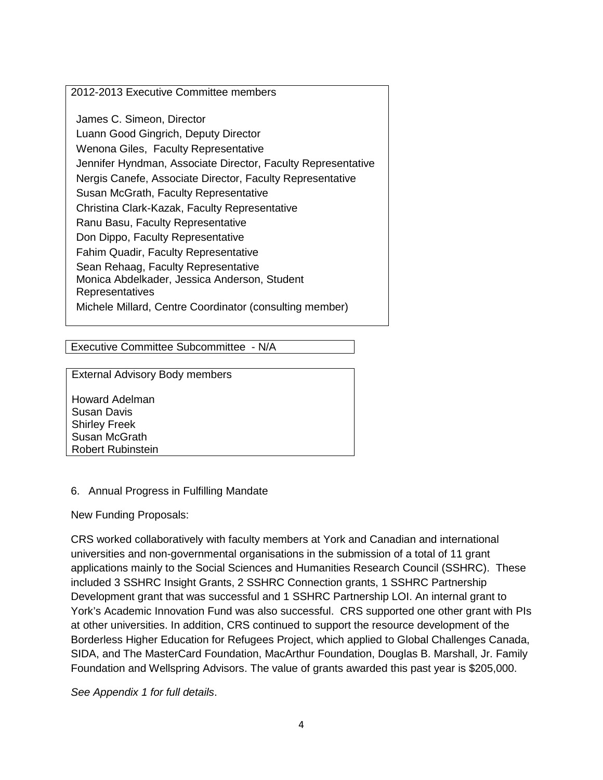### 2012-2013 Executive Committee members

James C. Simeon, Director Luann Good Gingrich, Deputy Director Wenona Giles, Faculty Representative Jennifer Hyndman, Associate Director, Faculty Representative Nergis Canefe, Associate Director, Faculty Representative Susan McGrath, Faculty Representative Christina Clark-Kazak, Faculty Representative Ranu Basu, Faculty Representative Don Dippo, Faculty Representative Fahim Quadir, Faculty Representative Sean Rehaag, Faculty Representative Monica Abdelkader, Jessica Anderson, Student Representatives Michele Millard, Centre Coordinator (consulting member)

Executive Committee Subcommittee - N/A

External Advisory Body members

Howard Adelman Susan Davis Shirley Freek Susan McGrath Robert Rubinstein

#### 6. Annual Progress in Fulfilling Mandate

New Funding Proposals:

CRS worked collaboratively with faculty members at York and Canadian and international universities and non-governmental organisations in the submission of a total of 11 grant applications mainly to the Social Sciences and Humanities Research Council (SSHRC). These included 3 SSHRC Insight Grants, 2 SSHRC Connection grants, 1 SSHRC Partnership Development grant that was successful and 1 SSHRC Partnership LOI. An internal grant to York's Academic Innovation Fund was also successful. CRS supported one other grant with PIs at other universities. In addition, CRS continued to support the resource development of the Borderless Higher Education for Refugees Project, which applied to Global Challenges Canada, SIDA, and The MasterCard Foundation, MacArthur Foundation, Douglas B. Marshall, Jr. Family Foundation and Wellspring Advisors. The value of grants awarded this past year is \$205,000.

*See Appendix 1 for full details*.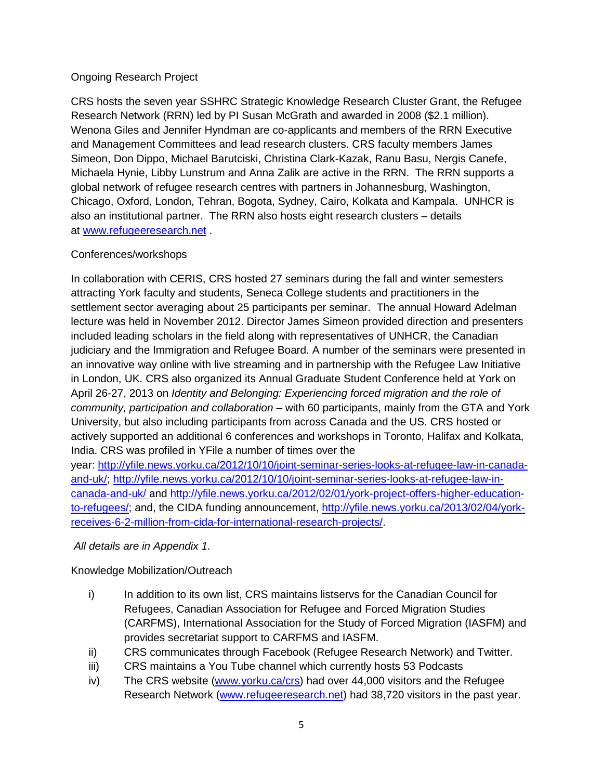### Ongoing Research Project

CRS hosts the seven year SSHRC Strategic Knowledge Research Cluster Grant, the Refugee Research Network (RRN) led by PI Susan McGrath and awarded in 2008 (\$2.1 million). Wenona Giles and Jennifer Hyndman are co-applicants and members of the RRN Executive and Management Committees and lead research clusters. CRS faculty members James Simeon, Don Dippo, Michael Barutciski, Christina Clark-Kazak, Ranu Basu, Nergis Canefe, Michaela Hynie, Libby Lunstrum and Anna Zalik are active in the RRN. The RRN supports a global network of refugee research centres with partners in Johannesburg, Washington, Chicago, Oxford, London, Tehran, Bogota, Sydney, Cairo, Kolkata and Kampala. UNHCR is also an institutional partner. The RRN also hosts eight research clusters – details at [www.refugeeresearch.net](http://www.refugeeresearch.net/) .

### Conferences/workshops

In collaboration with CERIS, CRS hosted 27 seminars during the fall and winter semesters attracting York faculty and students, Seneca College students and practitioners in the settlement sector averaging about 25 participants per seminar. The annual Howard Adelman lecture was held in November 2012. Director James Simeon provided direction and presenters included leading scholars in the field along with representatives of UNHCR, the Canadian judiciary and the Immigration and Refugee Board. A number of the seminars were presented in an innovative way online with live streaming and in partnership with the Refugee Law Initiative in London, UK. CRS also organized its Annual Graduate Student Conference held at York on April 26-27, 2013 on *Identity and Belonging: Experiencing forced migration and the role of community, participation and collaboration* – with 60 participants, mainly from the GTA and York University, but also including participants from across Canada and the US. CRS hosted or actively supported an additional 6 conferences and workshops in Toronto, Halifax and Kolkata, India. CRS was profiled in YFile a number of times over the year: [http://yfile.news.yorku.ca/2012/10/10/joint-seminar-series-looks-at-refugee-law-in-canada-](http://yfile.news.yorku.ca/2012/10/10/joint-seminar-series-looks-at-refugee-law-in-canada-and-uk/)

[and-uk/; http://yfile.news.yorku.ca/2012/10/10/joint-seminar-series-looks-at-refugee-law-in](http://yfile.news.yorku.ca/2012/10/10/joint-seminar-series-looks-at-refugee-law-in-canada-and-uk/)[canada-and-uk/](http://yfile.news.yorku.ca/2012/10/10/joint-seminar-series-looks-at-refugee-law-in-canada-and-uk/) and [http://yfile.news.yorku.ca/2012/02/01/york-project-offers-higher-education](http://yfile.news.yorku.ca/2012/02/01/york-project-offers-higher-education-to-refugees/)[to-refugees/;](http://yfile.news.yorku.ca/2012/02/01/york-project-offers-higher-education-to-refugees/) and, the CIDA funding announcement, [http://yfile.news.yorku.ca/2013/02/04/york](http://yfile.news.yorku.ca/2013/02/04/york-receives-6-2-million-from-cida-for-international-research-projects/)[receives-6-2-million-from-cida-for-international-research-projects/.](http://yfile.news.yorku.ca/2013/02/04/york-receives-6-2-million-from-cida-for-international-research-projects/)

# *All details are in Appendix 1.*

Knowledge Mobilization/Outreach

- i) In addition to its own list, CRS maintains listservs for the Canadian Council for Refugees, Canadian Association for Refugee and Forced Migration Studies (CARFMS), International Association for the Study of Forced Migration (IASFM) and provides secretariat support to CARFMS and IASFM.
- ii) CRS communicates through Facebook (Refugee Research Network) and Twitter.
- iii) CRS maintains a You Tube channel which currently hosts 53 Podcasts
- iv) The CRS website [\(www.yorku.ca/crs\)](http://www.yorku.ca/crs) had over 44,000 visitors and the Refugee Research Network [\(www.refugeeresearch.net\)](http://www.refugeeresearch.net/) had 38,720 visitors in the past year.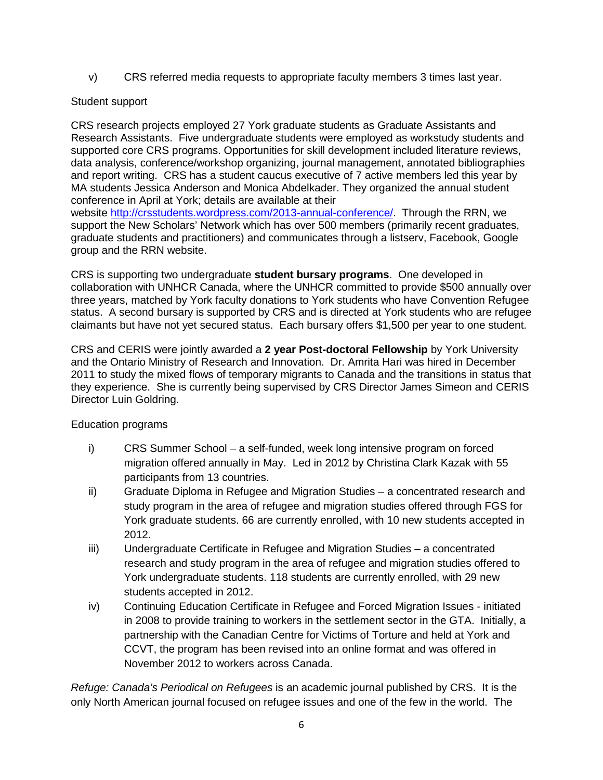v) CRS referred media requests to appropriate faculty members 3 times last year.

## Student support

CRS research projects employed 27 York graduate students as Graduate Assistants and Research Assistants. Five undergraduate students were employed as workstudy students and supported core CRS programs. Opportunities for skill development included literature reviews, data analysis, conference/workshop organizing, journal management, annotated bibliographies and report writing. CRS has a student caucus executive of 7 active members led this year by MA students Jessica Anderson and Monica Abdelkader. They organized the annual student conference in April at York; details are available at their website [http://crsstudents.wordpress.com/2013-annual-conference/.](http://crsstudents.wordpress.com/2013-annual-conference/) Through the RRN, we support the New Scholars' Network which has over 500 members (primarily recent graduates, graduate students and practitioners) and communicates through a listserv, Facebook, Google group and the RRN website.

CRS is supporting two undergraduate **student bursary programs**. One developed in collaboration with UNHCR Canada, where the UNHCR committed to provide \$500 annually over three years, matched by York faculty donations to York students who have Convention Refugee status. A second bursary is supported by CRS and is directed at York students who are refugee claimants but have not yet secured status. Each bursary offers \$1,500 per year to one student.

CRS and CERIS were jointly awarded a **2 year Post-doctoral Fellowship** by York University and the Ontario Ministry of Research and Innovation. Dr. Amrita Hari was hired in December 2011 to study the mixed flows of temporary migrants to Canada and the transitions in status that they experience. She is currently being supervised by CRS Director James Simeon and CERIS Director Luin Goldring.

# Education programs

- i) CRS Summer School a self-funded, week long intensive program on forced migration offered annually in May. Led in 2012 by Christina Clark Kazak with 55 participants from 13 countries.
- ii) Graduate Diploma in Refugee and Migration Studies a concentrated research and study program in the area of refugee and migration studies offered through FGS for York graduate students. 66 are currently enrolled, with 10 new students accepted in 2012.
- iii) Undergraduate Certificate in Refugee and Migration Studies a concentrated research and study program in the area of refugee and migration studies offered to York undergraduate students. 118 students are currently enrolled, with 29 new students accepted in 2012.
- iv) Continuing Education Certificate in Refugee and Forced Migration Issues initiated in 2008 to provide training to workers in the settlement sector in the GTA. Initially, a partnership with the Canadian Centre for Victims of Torture and held at York and CCVT, the program has been revised into an online format and was offered in November 2012 to workers across Canada.

*Refuge: Canada's Periodical on Refugees* is an academic journal published by CRS. It is the only North American journal focused on refugee issues and one of the few in the world. The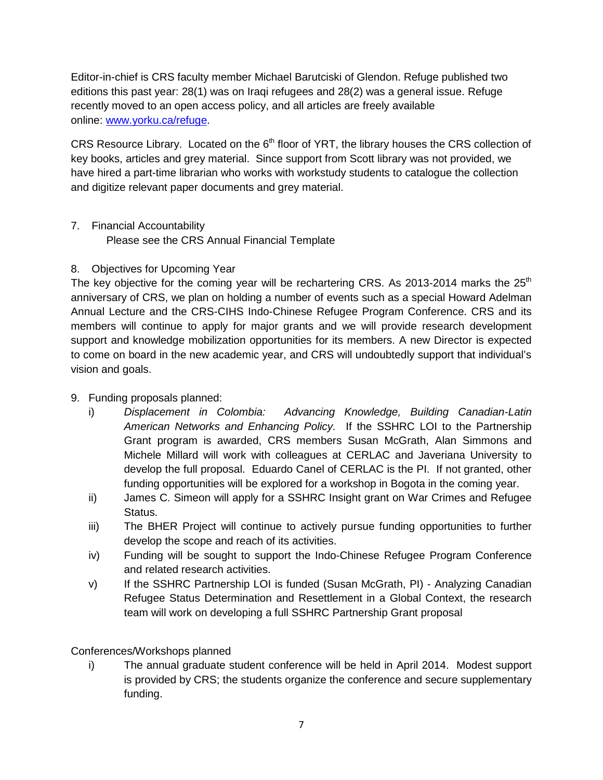Editor-in-chief is CRS faculty member Michael Barutciski of Glendon. Refuge published two editions this past year: 28(1) was on Iraqi refugees and 28(2) was a general issue. Refuge recently moved to an open access policy, and all articles are freely available online: www.yorku.ca/refuge.

CRS Resource Library. Located on the 6<sup>th</sup> floor of YRT, the library houses the CRS collection of key books, articles and grey material. Since support from Scott library was not provided, we have hired a part-time librarian who works with workstudy students to catalogue the collection and digitize relevant paper documents and grey material.

7. Financial Accountability Please see the CRS Annual Financial Template

# 8. Objectives for Upcoming Year

The key objective for the coming year will be rechartering CRS. As 2013-2014 marks the  $25<sup>th</sup>$ anniversary of CRS, we plan on holding a number of events such as a special Howard Adelman Annual Lecture and the CRS-CIHS Indo-Chinese Refugee Program Conference. CRS and its members will continue to apply for major grants and we will provide research development support and knowledge mobilization opportunities for its members. A new Director is expected to come on board in the new academic year, and CRS will undoubtedly support that individual's vision and goals.

# 9. Funding proposals planned:

- i) *Displacement in Colombia: Advancing Knowledge, Building Canadian-Latin American Networks and Enhancing Policy.* If the SSHRC LOI to the Partnership Grant program is awarded, CRS members Susan McGrath, Alan Simmons and Michele Millard will work with colleagues at CERLAC and Javeriana University to develop the full proposal. Eduardo Canel of CERLAC is the PI. If not granted, other funding opportunities will be explored for a workshop in Bogota in the coming year.
- ii) James C. Simeon will apply for a SSHRC Insight grant on War Crimes and Refugee Status.
- iii) The BHER Project will continue to actively pursue funding opportunities to further develop the scope and reach of its activities.
- iv) Funding will be sought to support the Indo-Chinese Refugee Program Conference and related research activities.
- v) If the SSHRC Partnership LOI is funded (Susan McGrath, PI) Analyzing Canadian Refugee Status Determination and Resettlement in a Global Context, the research team will work on developing a full SSHRC Partnership Grant proposal

# Conferences/Workshops planned

i) The annual graduate student conference will be held in April 2014. Modest support is provided by CRS; the students organize the conference and secure supplementary funding.